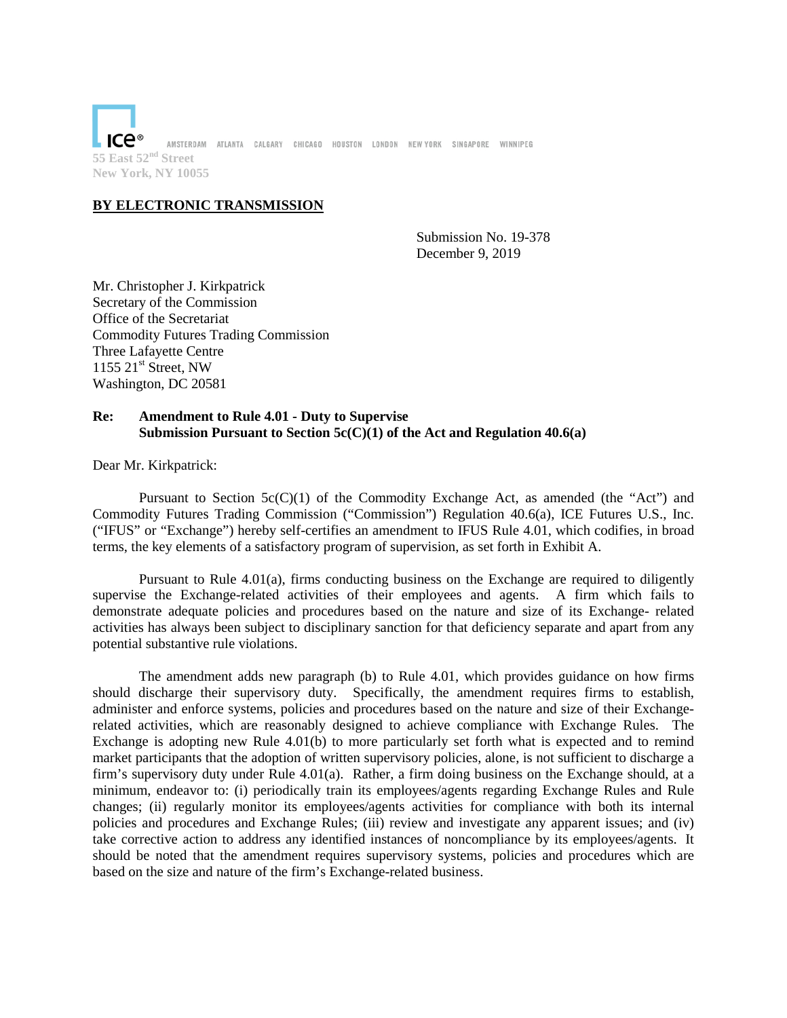ıce® AMSTERDAM ATLANTA CALGARY CHICAGO HOUSTON LONDON NEWYORK SINGAPORE WINNIPEG **55 East 52nd Street New York, NY 10055**

# **BY ELECTRONIC TRANSMISSION**

Submission No. 19-378 December 9, 2019

Mr. Christopher J. Kirkpatrick Secretary of the Commission Office of the Secretariat Commodity Futures Trading Commission Three Lafayette Centre 1155  $21<sup>st</sup>$  Street, NW Washington, DC 20581

# **Re: Amendment to Rule 4.01 - Duty to Supervise Submission Pursuant to Section 5c(C)(1) of the Act and Regulation 40.6(a)**

Dear Mr. Kirkpatrick:

Pursuant to Section  $5c(C)(1)$  of the Commodity Exchange Act, as amended (the "Act") and Commodity Futures Trading Commission ("Commission") Regulation 40.6(a), ICE Futures U.S., Inc. ("IFUS" or "Exchange") hereby self-certifies an amendment to IFUS Rule 4.01, which codifies, in broad terms, the key elements of a satisfactory program of supervision, as set forth in Exhibit A.

Pursuant to Rule 4.01(a), firms conducting business on the Exchange are required to diligently supervise the Exchange-related activities of their employees and agents. A firm which fails to demonstrate adequate policies and procedures based on the nature and size of its Exchange- related activities has always been subject to disciplinary sanction for that deficiency separate and apart from any potential substantive rule violations.

The amendment adds new paragraph (b) to Rule 4.01, which provides guidance on how firms should discharge their supervisory duty. Specifically, the amendment requires firms to establish, administer and enforce systems, policies and procedures based on the nature and size of their Exchangerelated activities, which are reasonably designed to achieve compliance with Exchange Rules. The Exchange is adopting new Rule 4.01(b) to more particularly set forth what is expected and to remind market participants that the adoption of written supervisory policies, alone, is not sufficient to discharge a firm's supervisory duty under Rule 4.01(a). Rather, a firm doing business on the Exchange should, at a minimum, endeavor to: (i) periodically train its employees/agents regarding Exchange Rules and Rule changes; (ii) regularly monitor its employees/agents activities for compliance with both its internal policies and procedures and Exchange Rules; (iii) review and investigate any apparent issues; and (iv) take corrective action to address any identified instances of noncompliance by its employees/agents. It should be noted that the amendment requires supervisory systems, policies and procedures which are based on the size and nature of the firm's Exchange-related business.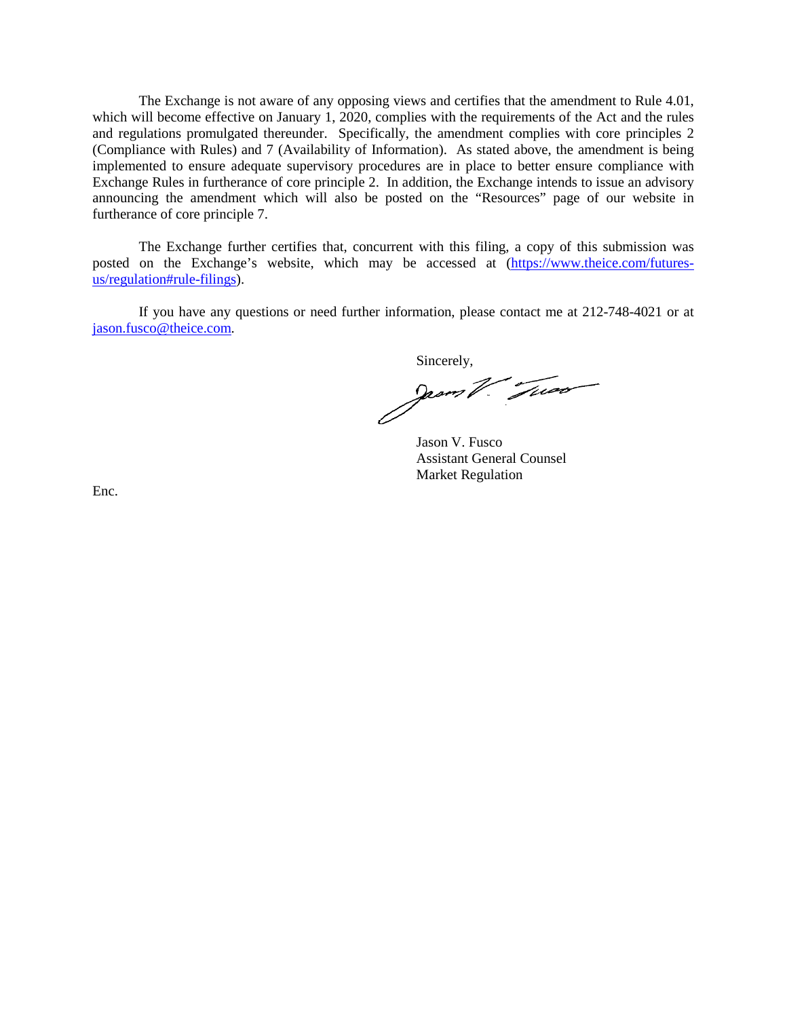The Exchange is not aware of any opposing views and certifies that the amendment to Rule 4.01, which will become effective on January 1, 2020, complies with the requirements of the Act and the rules and regulations promulgated thereunder. Specifically, the amendment complies with core principles 2 (Compliance with Rules) and 7 (Availability of Information). As stated above, the amendment is being implemented to ensure adequate supervisory procedures are in place to better ensure compliance with Exchange Rules in furtherance of core principle 2. In addition, the Exchange intends to issue an advisory announcing the amendment which will also be posted on the "Resources" page of our website in furtherance of core principle 7.

The Exchange further certifies that, concurrent with this filing, a copy of this submission was posted on the Exchange's website, which may be accessedat([https://www.theice.com/futures](https://www.theice.com/futures-us/regulation#rule-filings)[us/regulation#rule-filings\).](https://www.theice.com/futures-us/regulation#rule-filings)

If you have any questions or need further information, please contact me at 212-748-4021 or at [jason.fusco@theice.com.](mailto:jason.fusco@theice.com)

Sincerely,

Jason V. Fusco Assistant General Counsel Market Regulation

Enc.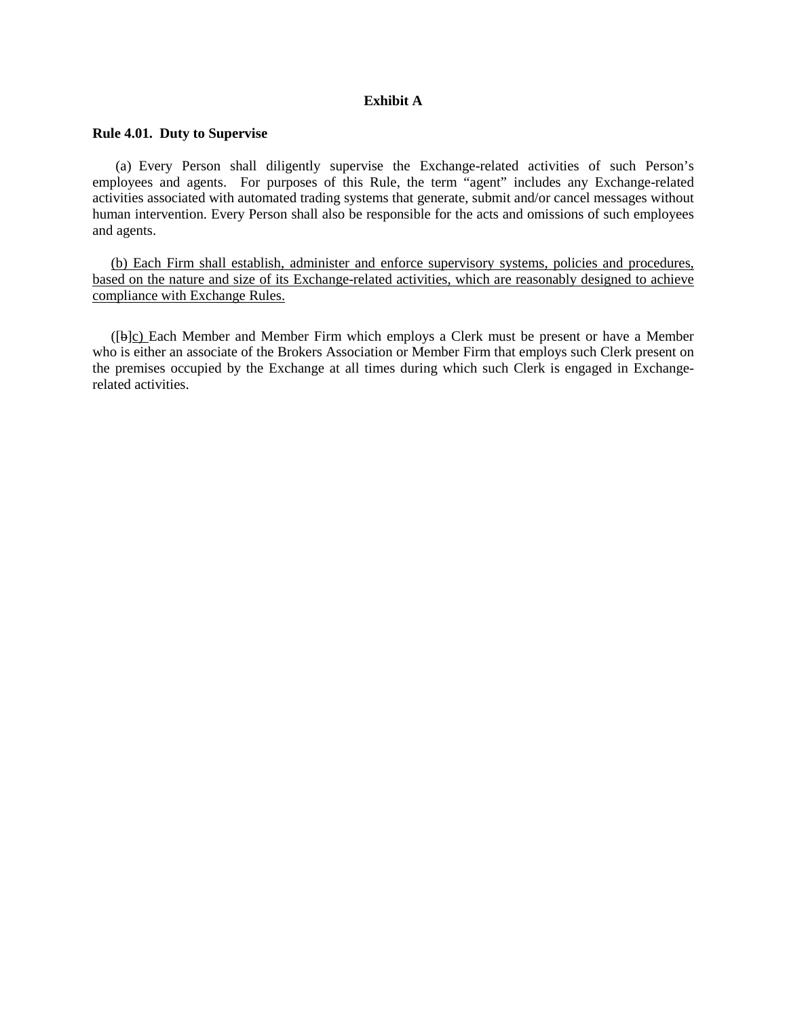### **Exhibit A**

## **Rule 4.01. Duty to Supervise**

(a) Every Person shall diligently supervise the Exchange-related activities of such Person's employees and agents. For purposes of this Rule, the term "agent" includes any Exchange-related activities associated with automated trading systems that generate, submit and/or cancel messages without human intervention. Every Person shall also be responsible for the acts and omissions of such employees and agents.

(b) Each Firm shall establish, administer and enforce supervisory systems, policies and procedures, based on the nature and size of its Exchange-related activities, which are reasonably designed to achieve compliance with Exchange Rules.

([b]c) Each Member and Member Firm which employs a Clerk must be present or have a Member who is either an associate of the Brokers Association or Member Firm that employs such Clerk present on the premises occupied by the Exchange at all times during which such Clerk is engaged in Exchangerelated activities.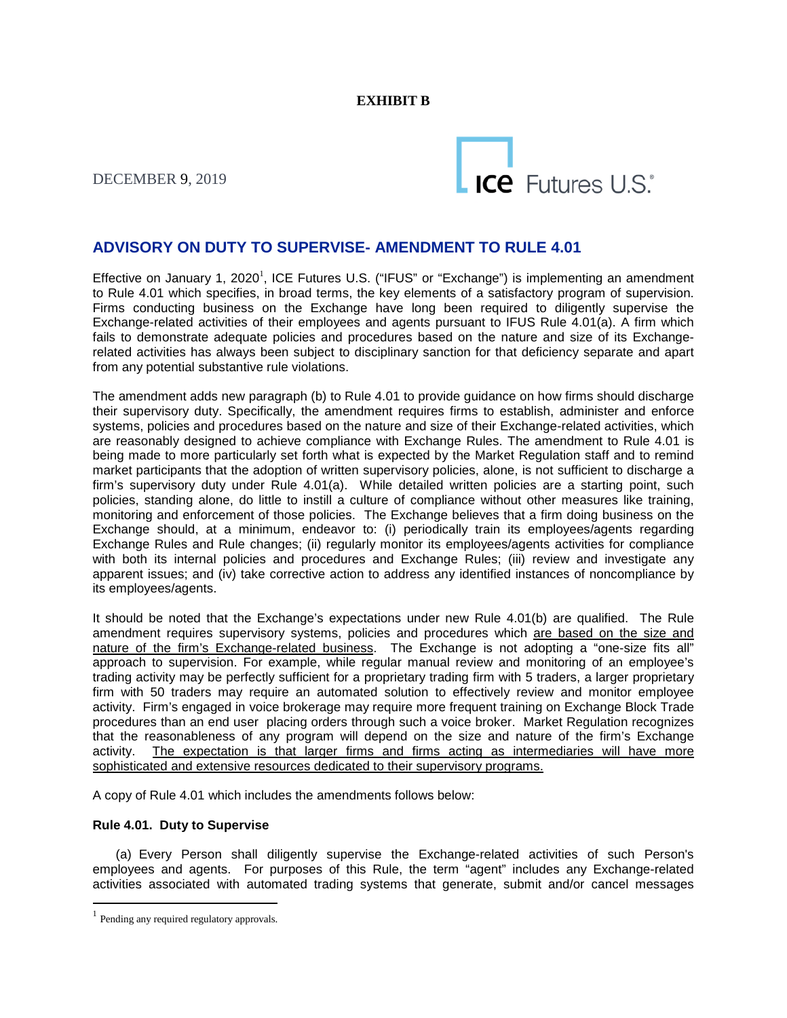# **EXHIBIT B**

DECEMBER 9, 2019



# **ADVISORY ON DUTY TO SUPERVISE- AMENDMENT TO RULE 4.01**

Effective on January [1](#page-3-0), 2020<sup>1</sup>[, ICE Futures U.S. \("IFUS" or "Exchange"\) is implementing an amendment](#page-3-0) to Rule 4.01 which specifies, in broad terms, the key elements of a satisfactory program of supervision. Firms conducting business on the Exchange have long been required to diligently supervise the Exchange-related activities of their employees and agents pursuant to IFUS Rule 4.01(a). A firm which fails to demonstrate adequate policies and procedures based on the nature and size of its Exchangerelated activities has always been subject to disciplinary sanction for that deficiency separate and apart from any potential substantive rule violations.

The amendment adds new paragraph (b) to Rule 4.01 to provide guidance on how firms should discharge their supervisory duty. Specifically, the amendment requires firms to establish, administer and enforce systems, policies and procedures based on the nature and size of their Exchange-related activities, which are reasonably designed to achieve compliance with Exchange Rules. The amendment to Rule 4.01 is being made to more particularly set forth what is expected by the Market Regulation staff and to remind market participants that the adoption of written supervisory policies, alone, is not sufficient to discharge a firm's supervisory duty under Rule 4.01(a). While detailed written policies are a starting point, such policies, standing alone, do little to instill a culture of compliance without other measures like training, monitoring and enforcement of those policies. The Exchange believes that a firm doing business on the Exchange should, at a minimum, endeavor to: (i) periodically train its employees/agents regarding Exchange Rules and Rule changes; (ii) regularly monitor its employees/agents activities for compliance with both its internal policies and procedures and Exchange Rules; (iii) review and investigate any apparent issues; and (iv) take corrective action to address any identified instances of noncompliance by its employees/agents.

It should be noted that the Exchange's expectations under new Rule 4.01(b) are qualified. The Rule amendment requires supervisory systems, policies and procedures which are based on the size and nature of the firm's Exchange-related business. The Exchange is not adopting a "one-size fits all" approach to supervision. For example, while regular manual review and monitoring of an employee's trading activity may be perfectly sufficient for a proprietary trading firm with 5 traders, a larger proprietary firm with 50 traders may require an automated solution to effectively review and monitor employee activity. Firm's engaged in voice brokerage may require more frequent training on Exchange Block Trade procedures than an end user placing orders through such a voice broker. Market Regulation recognizes that the reasonableness of any program will depend on the size and nature of the firm's Exchange activity. The expectation is that larger firms and firms acting as intermediaries will have more sophisticated and extensive resources dedicated to their supervisory programs.

A copy of Rule 4.01 which includes the amendments follows below:

#### **Rule 4.01. Duty to Supervise**

(a) Every Person shall diligently supervise the Exchange-related activities of such Person's employees and agents. For purposes of this Rule, the term "agent" includes any Exchange-related activities associated with automated trading systems that generate, submit and/or cancel messages

<span id="page-3-0"></span><sup>&</sup>lt;sup>1</sup> Pending any required regulatory approvals.